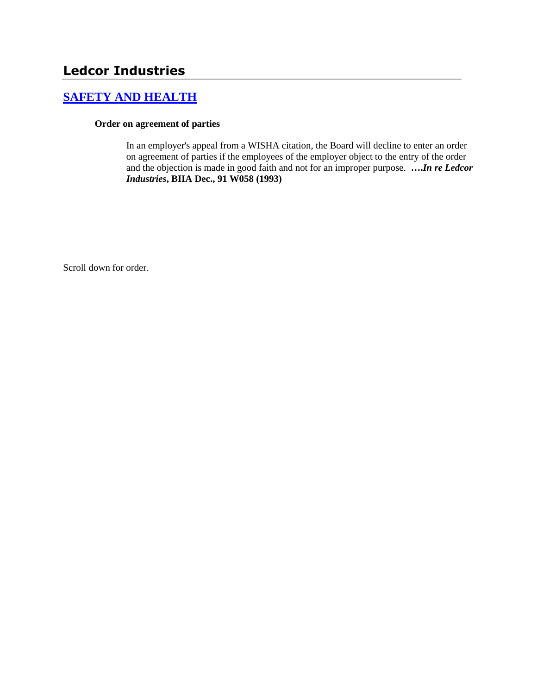# **[SAFETY AND HEALTH](http://www.biia.wa.gov/SDSubjectIndex.html#SAFETY_AND_HEALTH)**

#### **Order on agreement of parties**

In an employer's appeal from a WISHA citation, the Board will decline to enter an order on agreement of parties if the employees of the employer object to the entry of the order and the objection is made in good faith and not for an improper purpose. **….***In re Ledcor Industries***, BIIA Dec., 91 W058 (1993)**

Scroll down for order.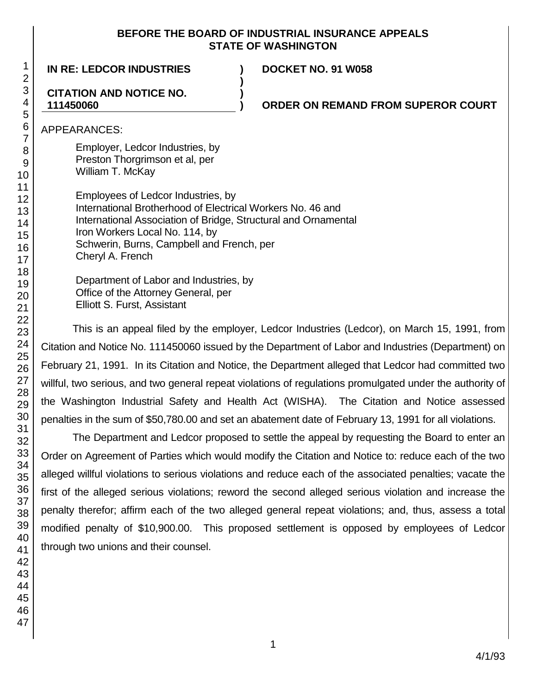#### **BEFORE THE BOARD OF INDUSTRIAL INSURANCE APPEALS STATE OF WASHINGTON**

**)**

**)**

**IN RE: LEDCOR INDUSTRIES ) DOCKET NO. 91 W058**

#### **CITATION AND NOTICE NO. 111450060**

### **) ORDER ON REMAND FROM SUPEROR COURT**

APPEARANCES:

Employer, Ledcor Industries, by Preston Thorgrimson et al, per William T. McKay

Employees of Ledcor Industries, by International Brotherhood of Electrical Workers No. 46 and International Association of Bridge, Structural and Ornamental Iron Workers Local No. 114, by Schwerin, Burns, Campbell and French, per Cheryl A. French

Department of Labor and Industries, by Office of the Attorney General, per Elliott S. Furst, Assistant

This is an appeal filed by the employer, Ledcor Industries (Ledcor), on March 15, 1991, from Citation and Notice No. 111450060 issued by the Department of Labor and Industries (Department) on February 21, 1991. In its Citation and Notice, the Department alleged that Ledcor had committed two willful, two serious, and two general repeat violations of regulations promulgated under the authority of the Washington Industrial Safety and Health Act (WISHA). The Citation and Notice assessed penalties in the sum of \$50,780.00 and set an abatement date of February 13, 1991 for all violations.

The Department and Ledcor proposed to settle the appeal by requesting the Board to enter an Order on Agreement of Parties which would modify the Citation and Notice to: reduce each of the two alleged willful violations to serious violations and reduce each of the associated penalties; vacate the first of the alleged serious violations; reword the second alleged serious violation and increase the penalty therefor; affirm each of the two alleged general repeat violations; and, thus, assess a total modified penalty of \$10,900.00. This proposed settlement is opposed by employees of Ledcor through two unions and their counsel.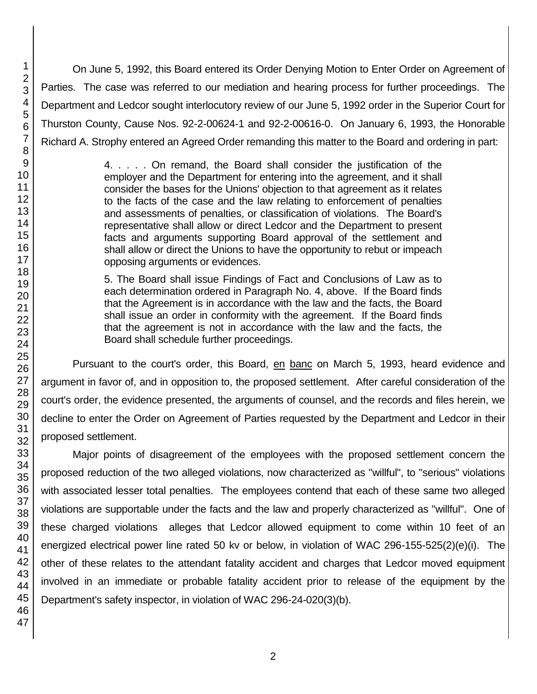On June 5, 1992, this Board entered its Order Denying Motion to Enter Order on Agreement of Parties. The case was referred to our mediation and hearing process for further proceedings. The Department and Ledcor sought interlocutory review of our June 5, 1992 order in the Superior Court for Thurston County, Cause Nos. 92-2-00624-1 and 92-2-00616-0. On January 6, 1993, the Honorable Richard A. Strophy entered an Agreed Order remanding this matter to the Board and ordering in part:

> 4. . . . . On remand, the Board shall consider the justification of the employer and the Department for entering into the agreement, and it shall consider the bases for the Unions' objection to that agreement as it relates to the facts of the case and the law relating to enforcement of penalties and assessments of penalties, or classification of violations. The Board's representative shall allow or direct Ledcor and the Department to present facts and arguments supporting Board approval of the settlement and shall allow or direct the Unions to have the opportunity to rebut or impeach opposing arguments or evidences.

> 5. The Board shall issue Findings of Fact and Conclusions of Law as to each determination ordered in Paragraph No. 4, above. If the Board finds that the Agreement is in accordance with the law and the facts, the Board shall issue an order in conformity with the agreement. If the Board finds that the agreement is not in accordance with the law and the facts, the Board shall schedule further proceedings.

Pursuant to the court's order, this Board, en banc on March 5, 1993, heard evidence and argument in favor of, and in opposition to, the proposed settlement. After careful consideration of the court's order, the evidence presented, the arguments of counsel, and the records and files herein, we decline to enter the Order on Agreement of Parties requested by the Department and Ledcor in their proposed settlement.

Major points of disagreement of the employees with the proposed settlement concern the proposed reduction of the two alleged violations, now characterized as "willful", to "serious" violations with associated lesser total penalties. The employees contend that each of these same two alleged violations are supportable under the facts and the law and properly characterized as "willful". One of these charged violations alleges that Ledcor allowed equipment to come within 10 feet of an energized electrical power line rated 50 kv or below, in violation of WAC 296-155-525(2)(e)(i). The other of these relates to the attendant fatality accident and charges that Ledcor moved equipment involved in an immediate or probable fatality accident prior to release of the equipment by the Department's safety inspector, in violation of WAC 296-24-020(3)(b).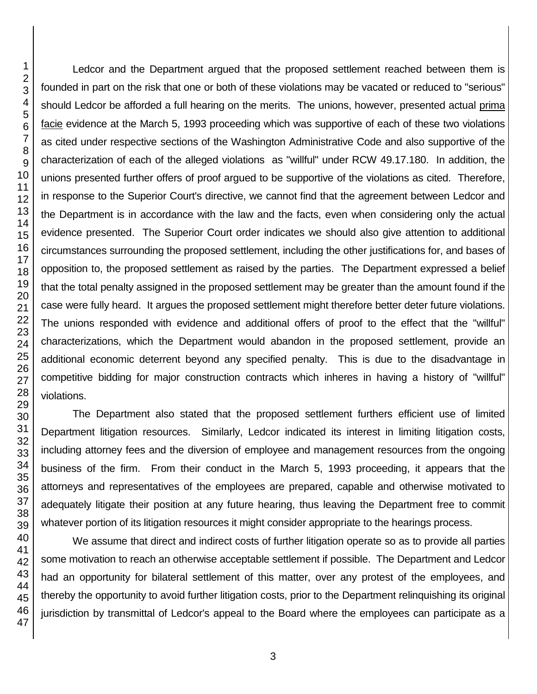Ledcor and the Department argued that the proposed settlement reached between them is founded in part on the risk that one or both of these violations may be vacated or reduced to "serious" should Ledcor be afforded a full hearing on the merits. The unions, however, presented actual prima facie evidence at the March 5, 1993 proceeding which was supportive of each of these two violations as cited under respective sections of the Washington Administrative Code and also supportive of the characterization of each of the alleged violations as "willful" under RCW 49.17.180. In addition, the unions presented further offers of proof argued to be supportive of the violations as cited. Therefore, in response to the Superior Court's directive, we cannot find that the agreement between Ledcor and the Department is in accordance with the law and the facts, even when considering only the actual evidence presented. The Superior Court order indicates we should also give attention to additional circumstances surrounding the proposed settlement, including the other justifications for, and bases of opposition to, the proposed settlement as raised by the parties. The Department expressed a belief that the total penalty assigned in the proposed settlement may be greater than the amount found if the case were fully heard. It argues the proposed settlement might therefore better deter future violations. The unions responded with evidence and additional offers of proof to the effect that the "willful" characterizations, which the Department would abandon in the proposed settlement, provide an additional economic deterrent beyond any specified penalty. This is due to the disadvantage in competitive bidding for major construction contracts which inheres in having a history of "willful" violations.

The Department also stated that the proposed settlement furthers efficient use of limited Department litigation resources. Similarly, Ledcor indicated its interest in limiting litigation costs, including attorney fees and the diversion of employee and management resources from the ongoing business of the firm. From their conduct in the March 5, 1993 proceeding, it appears that the attorneys and representatives of the employees are prepared, capable and otherwise motivated to adequately litigate their position at any future hearing, thus leaving the Department free to commit whatever portion of its litigation resources it might consider appropriate to the hearings process.

We assume that direct and indirect costs of further litigation operate so as to provide all parties some motivation to reach an otherwise acceptable settlement if possible. The Department and Ledcor had an opportunity for bilateral settlement of this matter, over any protest of the employees, and thereby the opportunity to avoid further litigation costs, prior to the Department relinquishing its original jurisdiction by transmittal of Ledcor's appeal to the Board where the employees can participate as a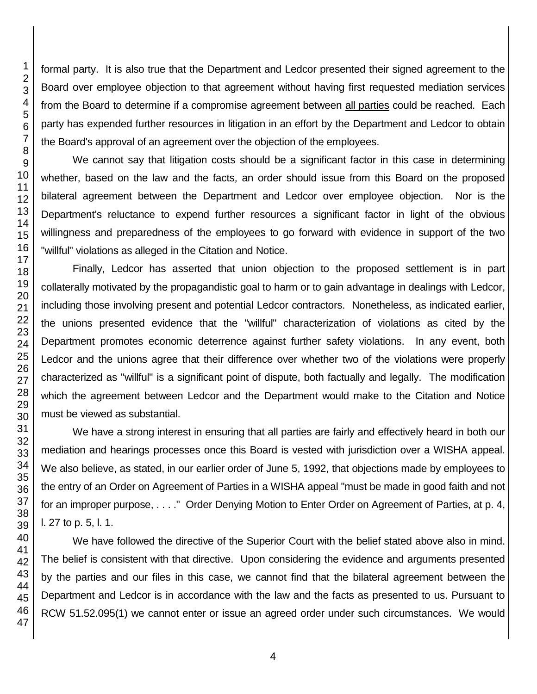formal party. It is also true that the Department and Ledcor presented their signed agreement to the Board over employee objection to that agreement without having first requested mediation services from the Board to determine if a compromise agreement between all parties could be reached. Each party has expended further resources in litigation in an effort by the Department and Ledcor to obtain the Board's approval of an agreement over the objection of the employees.

We cannot say that litigation costs should be a significant factor in this case in determining whether, based on the law and the facts, an order should issue from this Board on the proposed bilateral agreement between the Department and Ledcor over employee objection. Nor is the Department's reluctance to expend further resources a significant factor in light of the obvious willingness and preparedness of the employees to go forward with evidence in support of the two "willful" violations as alleged in the Citation and Notice.

Finally, Ledcor has asserted that union objection to the proposed settlement is in part collaterally motivated by the propagandistic goal to harm or to gain advantage in dealings with Ledcor, including those involving present and potential Ledcor contractors. Nonetheless, as indicated earlier, the unions presented evidence that the "willful" characterization of violations as cited by the Department promotes economic deterrence against further safety violations. In any event, both Ledcor and the unions agree that their difference over whether two of the violations were properly characterized as "willful" is a significant point of dispute, both factually and legally. The modification which the agreement between Ledcor and the Department would make to the Citation and Notice must be viewed as substantial.

We have a strong interest in ensuring that all parties are fairly and effectively heard in both our mediation and hearings processes once this Board is vested with jurisdiction over a WISHA appeal. We also believe, as stated, in our earlier order of June 5, 1992, that objections made by employees to the entry of an Order on Agreement of Parties in a WISHA appeal "must be made in good faith and not for an improper purpose, . . . ." Order Denying Motion to Enter Order on Agreement of Parties, at p. 4, l. 27 to p. 5, l. 1.

We have followed the directive of the Superior Court with the belief stated above also in mind. The belief is consistent with that directive. Upon considering the evidence and arguments presented by the parties and our files in this case, we cannot find that the bilateral agreement between the Department and Ledcor is in accordance with the law and the facts as presented to us. Pursuant to RCW 51.52.095(1) we cannot enter or issue an agreed order under such circumstances. We would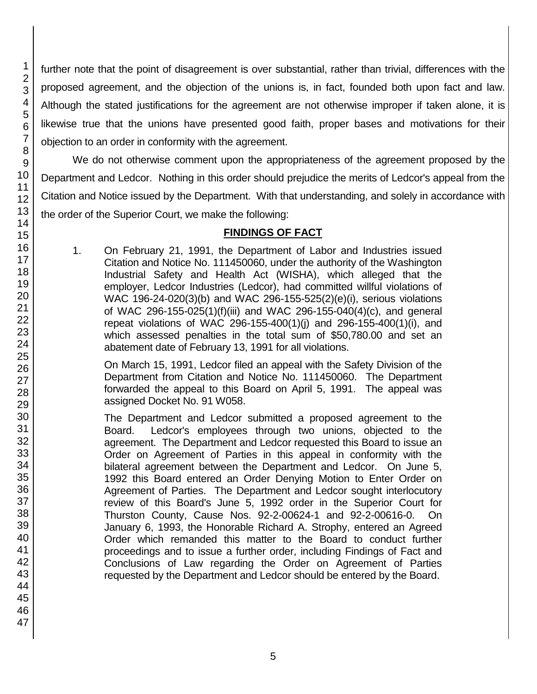further note that the point of disagreement is over substantial, rather than trivial, differences with the proposed agreement, and the objection of the unions is, in fact, founded both upon fact and law. Although the stated justifications for the agreement are not otherwise improper if taken alone, it is likewise true that the unions have presented good faith, proper bases and motivations for their objection to an order in conformity with the agreement.

We do not otherwise comment upon the appropriateness of the agreement proposed by the Department and Ledcor. Nothing in this order should prejudice the merits of Ledcor's appeal from the Citation and Notice issued by the Department. With that understanding, and solely in accordance with the order of the Superior Court, we make the following:

## **FINDINGS OF FACT**

1. On February 21, 1991, the Department of Labor and Industries issued Citation and Notice No. 111450060, under the authority of the Washington Industrial Safety and Health Act (WISHA), which alleged that the employer, Ledcor Industries (Ledcor), had committed willful violations of WAC 196-24-020(3)(b) and WAC 296-155-525(2)(e)(i), serious violations of WAC 296-155-025(1)(f)(iii) and WAC 296-155-040(4)(c), and general repeat violations of WAC 296-155-400(1)(j) and 296-155-400(1)(i), and which assessed penalties in the total sum of \$50,780.00 and set an abatement date of February 13, 1991 for all violations.

On March 15, 1991, Ledcor filed an appeal with the Safety Division of the Department from Citation and Notice No. 111450060. The Department forwarded the appeal to this Board on April 5, 1991. The appeal was assigned Docket No. 91 W058.

The Department and Ledcor submitted a proposed agreement to the Board. Ledcor's employees through two unions, objected to the agreement. The Department and Ledcor requested this Board to issue an Order on Agreement of Parties in this appeal in conformity with the bilateral agreement between the Department and Ledcor. On June 5, 1992 this Board entered an Order Denying Motion to Enter Order on Agreement of Parties. The Department and Ledcor sought interlocutory review of this Board's June 5, 1992 order in the Superior Court for Thurston County, Cause Nos. 92-2-00624-1 and 92-2-00616-0. On January 6, 1993, the Honorable Richard A. Strophy, entered an Agreed Order which remanded this matter to the Board to conduct further proceedings and to issue a further order, including Findings of Fact and Conclusions of Law regarding the Order on Agreement of Parties requested by the Department and Ledcor should be entered by the Board.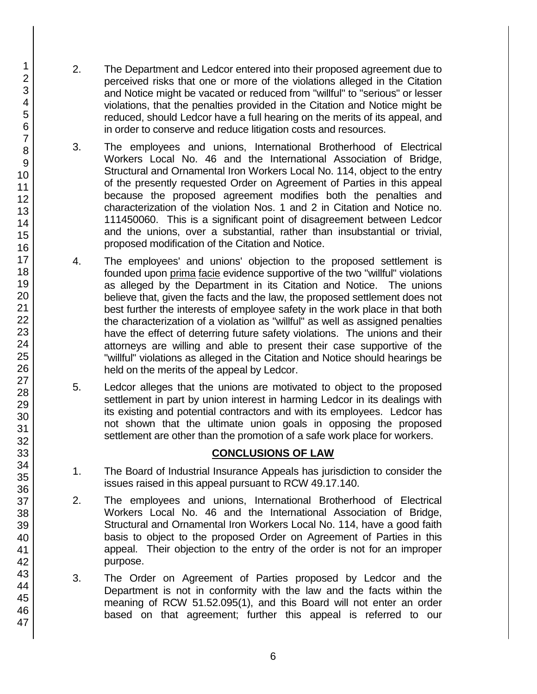- 2. The Department and Ledcor entered into their proposed agreement due to perceived risks that one or more of the violations alleged in the Citation and Notice might be vacated or reduced from "willful" to "serious" or lesser violations, that the penalties provided in the Citation and Notice might be reduced, should Ledcor have a full hearing on the merits of its appeal, and in order to conserve and reduce litigation costs and resources.
- 3. The employees and unions, International Brotherhood of Electrical Workers Local No. 46 and the International Association of Bridge, Structural and Ornamental Iron Workers Local No. 114, object to the entry of the presently requested Order on Agreement of Parties in this appeal because the proposed agreement modifies both the penalties and characterization of the violation Nos. 1 and 2 in Citation and Notice no. 111450060. This is a significant point of disagreement between Ledcor and the unions, over a substantial, rather than insubstantial or trivial, proposed modification of the Citation and Notice.
- 4. The employees' and unions' objection to the proposed settlement is founded upon prima facie evidence supportive of the two "willful" violations as alleged by the Department in its Citation and Notice. The unions believe that, given the facts and the law, the proposed settlement does not best further the interests of employee safety in the work place in that both the characterization of a violation as "willful" as well as assigned penalties have the effect of deterring future safety violations. The unions and their attorneys are willing and able to present their case supportive of the "willful" violations as alleged in the Citation and Notice should hearings be held on the merits of the appeal by Ledcor.
- 5. Ledcor alleges that the unions are motivated to object to the proposed settlement in part by union interest in harming Ledcor in its dealings with its existing and potential contractors and with its employees. Ledcor has not shown that the ultimate union goals in opposing the proposed settlement are other than the promotion of a safe work place for workers.

# **CONCLUSIONS OF LAW**

- 1. The Board of Industrial Insurance Appeals has jurisdiction to consider the issues raised in this appeal pursuant to RCW 49.17.140.
- 2. The employees and unions, International Brotherhood of Electrical Workers Local No. 46 and the International Association of Bridge, Structural and Ornamental Iron Workers Local No. 114, have a good faith basis to object to the proposed Order on Agreement of Parties in this appeal. Their objection to the entry of the order is not for an improper purpose.
- 3. The Order on Agreement of Parties proposed by Ledcor and the Department is not in conformity with the law and the facts within the meaning of RCW 51.52.095(1), and this Board will not enter an order based on that agreement; further this appeal is referred to our